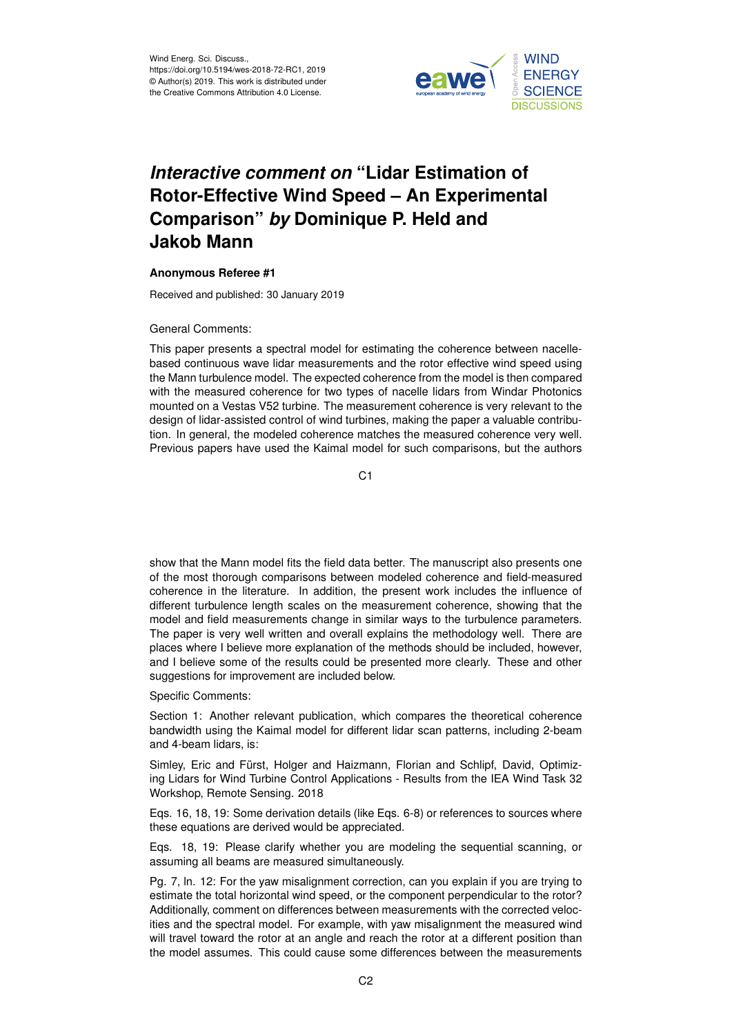

## *Interactive comment on* **"Lidar Estimation of Rotor-Effective Wind Speed – An Experimental Comparison"** *by* **Dominique P. Held and Jakob Mann**

## **Anonymous Referee #1**

Received and published: 30 January 2019

## General Comments:

This paper presents a spectral model for estimating the coherence between nacellebased continuous wave lidar measurements and the rotor effective wind speed using the Mann turbulence model. The expected coherence from the model is then compared with the measured coherence for two types of nacelle lidars from Windar Photonics mounted on a Vestas V52 turbine. The measurement coherence is very relevant to the design of lidar-assisted control of wind turbines, making the paper a valuable contribution. In general, the modeled coherence matches the measured coherence very well. Previous papers have used the Kaimal model for such comparisons, but the authors

 $C<sub>1</sub>$ 

show that the Mann model fits the field data better. The manuscript also presents one of the most thorough comparisons between modeled coherence and field-measured coherence in the literature. In addition, the present work includes the influence of different turbulence length scales on the measurement coherence, showing that the model and field measurements change in similar ways to the turbulence parameters. The paper is very well written and overall explains the methodology well. There are places where I believe more explanation of the methods should be included, however, and I believe some of the results could be presented more clearly. These and other suggestions for improvement are included below.

Specific Comments:

Section 1: Another relevant publication, which compares the theoretical coherence bandwidth using the Kaimal model for different lidar scan patterns, including 2-beam and 4-beam lidars, is:

Simley, Eric and Fürst, Holger and Haizmann, Florian and Schlipf, David, Optimizing Lidars for Wind Turbine Control Applications - Results from the IEA Wind Task 32 Workshop, Remote Sensing. 2018

Eqs. 16, 18, 19: Some derivation details (like Eqs. 6-8) or references to sources where these equations are derived would be appreciated.

Eqs. 18, 19: Please clarify whether you are modeling the sequential scanning, or assuming all beams are measured simultaneously.

Pg. 7, ln. 12: For the yaw misalignment correction, can you explain if you are trying to estimate the total horizontal wind speed, or the component perpendicular to the rotor? Additionally, comment on differences between measurements with the corrected velocities and the spectral model. For example, with yaw misalignment the measured wind will travel toward the rotor at an angle and reach the rotor at a different position than the model assumes. This could cause some differences between the measurements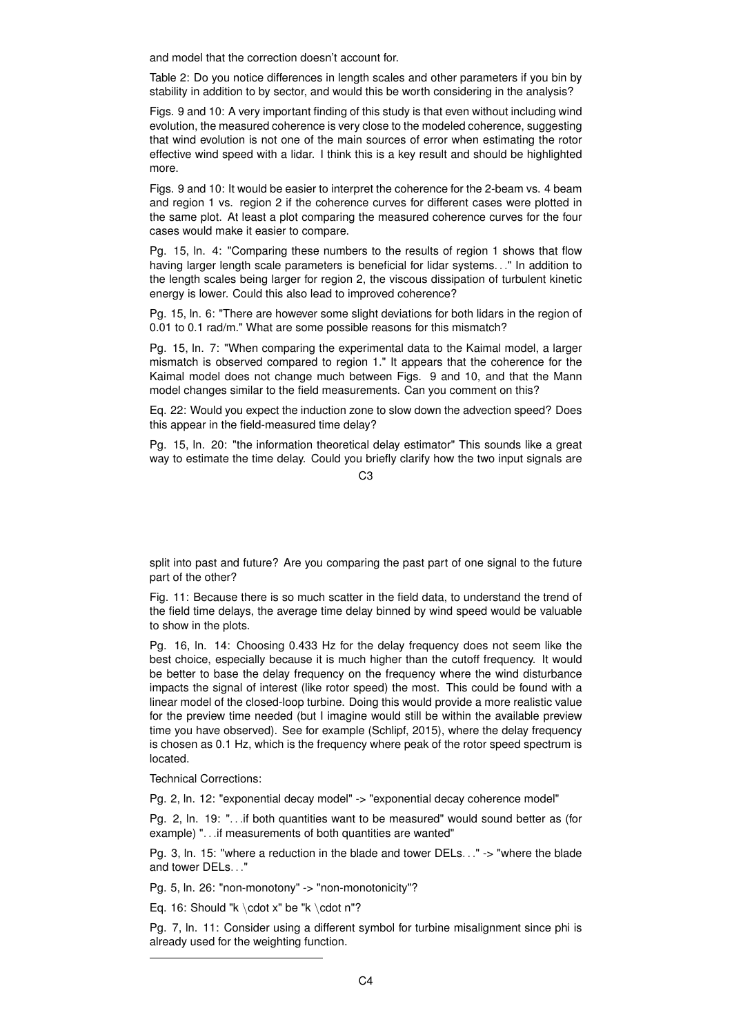and model that the correction doesn't account for.

Table 2: Do you notice differences in length scales and other parameters if you bin by stability in addition to by sector, and would this be worth considering in the analysis?

Figs. 9 and 10: A very important finding of this study is that even without including wind evolution, the measured coherence is very close to the modeled coherence, suggesting that wind evolution is not one of the main sources of error when estimating the rotor effective wind speed with a lidar. I think this is a key result and should be highlighted more.

Figs. 9 and 10: It would be easier to interpret the coherence for the 2-beam vs. 4 beam and region 1 vs. region 2 if the coherence curves for different cases were plotted in the same plot. At least a plot comparing the measured coherence curves for the four cases would make it easier to compare.

Pg. 15, ln. 4: "Comparing these numbers to the results of region 1 shows that flow having larger length scale parameters is beneficial for lidar systems. . ." In addition to the length scales being larger for region 2, the viscous dissipation of turbulent kinetic energy is lower. Could this also lead to improved coherence?

Pg. 15, ln. 6: "There are however some slight deviations for both lidars in the region of 0.01 to 0.1 rad/m." What are some possible reasons for this mismatch?

Pg. 15, ln. 7: "When comparing the experimental data to the Kaimal model, a larger mismatch is observed compared to region 1." It appears that the coherence for the Kaimal model does not change much between Figs. 9 and 10, and that the Mann model changes similar to the field measurements. Can you comment on this?

Eq. 22: Would you expect the induction zone to slow down the advection speed? Does this appear in the field-measured time delay?

Pg. 15, ln. 20: "the information theoretical delay estimator" This sounds like a great way to estimate the time delay. Could you briefly clarify how the two input signals are

 $C3$ 

split into past and future? Are you comparing the past part of one signal to the future part of the other?

Fig. 11: Because there is so much scatter in the field data, to understand the trend of the field time delays, the average time delay binned by wind speed would be valuable to show in the plots.

Pg. 16, ln. 14: Choosing 0.433 Hz for the delay frequency does not seem like the best choice, especially because it is much higher than the cutoff frequency. It would be better to base the delay frequency on the frequency where the wind disturbance impacts the signal of interest (like rotor speed) the most. This could be found with a linear model of the closed-loop turbine. Doing this would provide a more realistic value for the preview time needed (but I imagine would still be within the available preview time you have observed). See for example (Schlipf, 2015), where the delay frequency is chosen as 0.1 Hz, which is the frequency where peak of the rotor speed spectrum is located.

Technical Corrections:

Pg. 2, ln. 12: "exponential decay model" -> "exponential decay coherence model"

Pg. 2, ln. 19: ". . .if both quantities want to be measured" would sound better as (for example) ". . .if measurements of both quantities are wanted"

Pg. 3, In. 15: "where a reduction in the blade and tower DELs..." -> "where the blade and tower DELs. . ."

Pg. 5, ln. 26: "non-monotony" -> "non-monotonicity"?

Eq. 16: Should "k \cdot x" be "k \cdot n"?

Pg. 7, ln. 11: Consider using a different symbol for turbine misalignment since phi is already used for the weighting function.